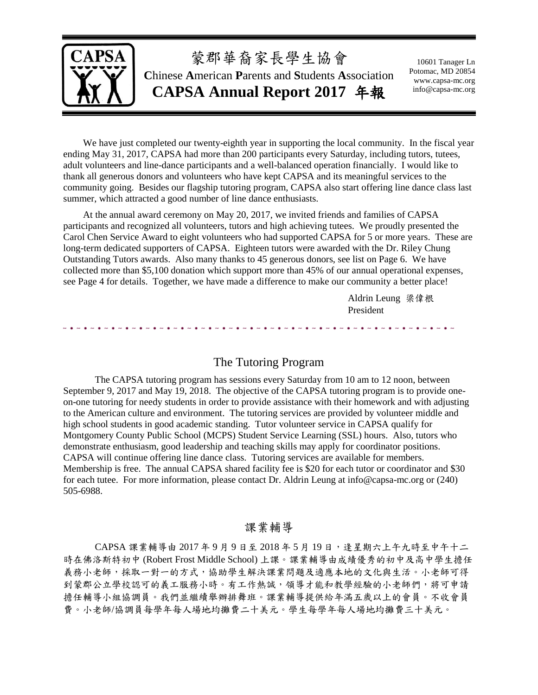

We have just completed our twenty-eighth year in supporting the local community. In the fiscal year ending May 31, 2017, CAPSA had more than 200 participants every Saturday, including tutors, tutees, adult volunteers and line-dance participants and a well-balanced operation financially. I would like to thank all generous donors and volunteers who have kept CAPSA and its meaningful services to the community going. Besides our flagship tutoring program, CAPSA also start offering line dance class last summer, which attracted a good number of line dance enthusiasts.

At the annual award ceremony on May 20, 2017, we invited friends and families of CAPSA participants and recognized all volunteers, tutors and high achieving tutees. We proudly presented the Carol Chen Service Award to eight volunteers who had supported CAPSA for 5 or more years. These are long-term dedicated supporters of CAPSA. Eighteen tutors were awarded with the Dr. Riley Chung Outstanding Tutors awards. Also many thanks to 45 generous donors, see list on Page 6. We have collected more than \$5,100 donation which support more than 45% of our annual operational expenses, see Page 4 for details. Together, we have made a difference to make our community a better place!

> Aldrin Leung 梁偉根 President

#### The Tutoring Program

The CAPSA tutoring program has sessions every Saturday from 10 am to 12 noon, between September 9, 2017 and May 19, 2018. The objective of the CAPSA tutoring program is to provide oneon-one tutoring for needy students in order to provide assistance with their homework and with adjusting to the American culture and environment. The tutoring services are provided by volunteer middle and high school students in good academic standing. Tutor volunteer service in CAPSA qualify for Montgomery County Public School (MCPS) Student Service Learning (SSL) hours. Also, tutors who demonstrate enthusiasm, good leadership and teaching skills may apply for coordinator positions. CAPSA will continue offering line dance class. Tutoring services are available for members. Membership is free. The annual CAPSA shared facility fee is \$20 for each tutor or coordinator and \$30 for each tutee. For more information, please contact Dr. Aldrin Leung at info@capsa-mc.org or (240) 505-6988.

#### 課業輔導

CAPSA 課業輔導由 2017年9月9日至 2018年5月19日,逢星期六上午九時至中午十二 時在佛洛斯特初中 (Robert Frost Middle School) 上課。課業輔導由成績優秀的初中及高中學生擔任 義務小老師,採取一對一的方式,協助學生解決課業問題及適應本地的文化與生活。小老師可得 到蒙郡公立學校認可的義工服務小時。有工作熱誠,領導才能和教學經驗的小老師們,將可申請 擔任輔導小組協調員。我們並繼續舉辦排舞班。課業輔導提供給年滿五歲以上的會員。不收會員 費。小老師/協調員每學年每人場地均攤費二十美元。學生每學年每人場地均攤費三十美元。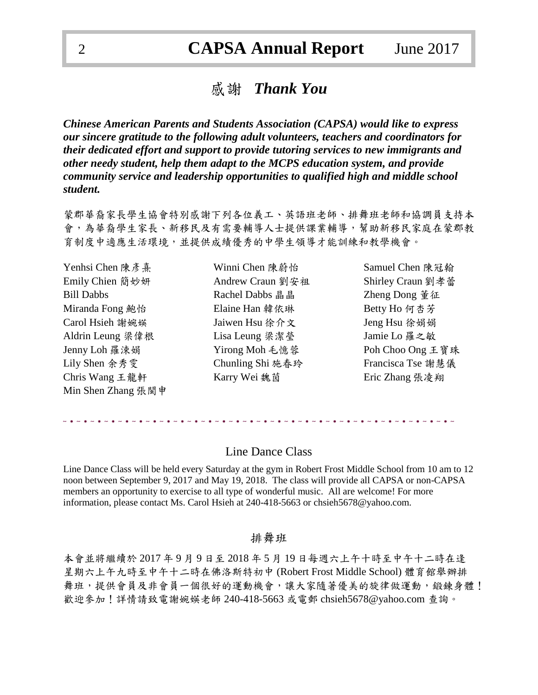## 感謝 *Thank You*

*Chinese American Parents and Students Association (CAPSA) would like to express our sincere gratitude to the following adult volunteers, teachers and coordinators for their dedicated effort and support to provide tutoring services to new immigrants and other needy student, help them adapt to the MCPS education system, and provide community service and leadership opportunities to qualified high and middle school student.*

蒙郡華裔家長學生協會特別感謝下列各位義工、英語班老師、排舞班老師和協調員支持本 會,為華裔學生家長、新移民及有需要輔導人士提供課業輔導,幫助新移民家庭在蒙郡教 育制度中適應生活環境,並提供成績優秀的中學生領導才能訓練和教學機會。

| Yenhsi Chen 陳彥熹    |
|--------------------|
| Emily Chien 簡妙妍    |
| <b>Bill Dabbs</b>  |
| Miranda Fong 鮑怡    |
| Carol Hsieh 謝婉媖    |
| Aldrin Leung 梁偉根   |
| Jenny Loh 羅涑娟      |
| Lily Shen 余秀雯      |
| Chris Wang 王龍軒     |
| Min Shen Zhang 張閩申 |

Rachel Dabbs 晶晶 **Zheng Dong** 董征 Elaine Han 韓依琳 Betty Ho 何杏芳 Jaiwen Hsu 徐介文 Jeng Hsu 徐娟娟 Aldrin Leung 梁偉根 Lisa Leung 梁潔瑩 Jamie Lo 羅之敏 Karry Wei 魏茵 **Eric Zhang 張凌**翔

Winni Chen 陳蔚怡 Samuel Chen 陳冠翰 Andrew Craun 劉安祖 Shirley Craun 劉孝蕾 Yirong Moh 毛憶蓉 Poh Choo Ong 王寶珠 Chunling Shi 施春玲 Francisca Tse 謝慧儀

#### Line Dance Class

Line Dance Class will be held every Saturday at the gym in Robert Frost Middle School from 10 am to 12 noon between September 9, 2017 and May 19, 2018. The class will provide all CAPSA or non-CAPSA members an opportunity to exercise to all type of wonderful music. All are welcome! For more information, please contact Ms. Carol Hsieh at 240-418-5663 or chsieh5678@yahoo.com.

#### 排舞班

本會並將繼續於 2017 年 9 月 9 日至 2018 年 5 月 19 日每週六上午十時至中午十二時在逢 星期六上午九時至中午十二時在佛洛斯特初中 (Robert Frost Middle School) 體育館舉辦排 舞班,提供會員及非會員一個很好的運動機會,讓大家隨著優美的旋律做運動,鍛鍊身體! 歡迎參加!詳情請致電謝婉媖老師 240-418-5663 或電郵 chsieh5678@yahoo.com 查詢。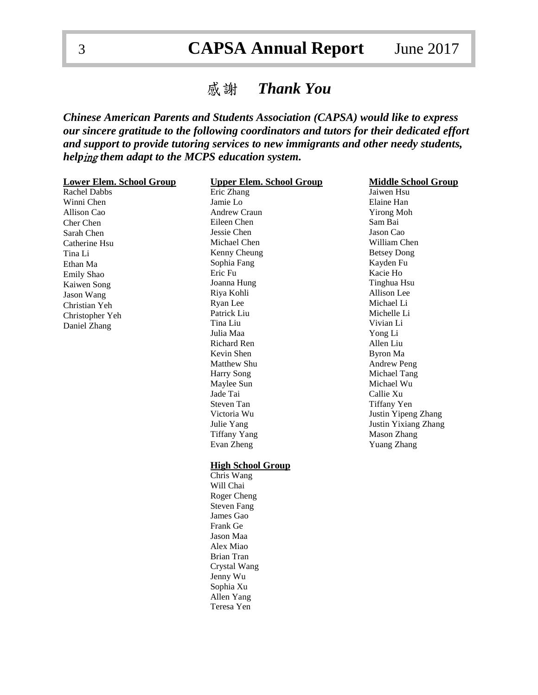# 3 **CAPSA Annual Report** June 2017

## 感謝 *Thank You*

*Chinese American Parents and Students Association (CAPSA) would like to express our sincere gratitude to the following coordinators and tutors for their dedicated effort and support to provide tutoring services to new immigrants and other needy students, help*ing *them adapt to the MCPS education system.*

| <b>Lower Elem. School Group</b> | <b>Upper Elem. School Group</b> | <b>Middle School Group</b>  |
|---------------------------------|---------------------------------|-----------------------------|
| Rachel Dabbs                    | Eric Zhang                      | Jaiwen Hsu                  |
| Winni Chen                      | Jamie Lo                        | Elaine Han                  |
| Allison Cao                     | <b>Andrew Craun</b>             | <b>Yirong Moh</b>           |
| Cher Chen                       | Eileen Chen                     | Sam Bai                     |
| Sarah Chen                      | Jessie Chen                     | Jason Cao                   |
| Catherine Hsu                   | Michael Chen                    | William Chen                |
| Tina Li                         | Kenny Cheung                    | <b>Betsey Dong</b>          |
| Ethan Ma                        | Sophia Fang                     | Kayden Fu                   |
| <b>Emily Shao</b>               | Eric Fu                         | Kacie Ho                    |
| Kaiwen Song                     | Joanna Hung                     | Tinghua Hsu                 |
| Jason Wang                      | Riya Kohli                      | Allison Lee                 |
| Christian Yeh                   | Ryan Lee                        | Michael Li                  |
| Christopher Yeh                 | Patrick Liu                     | Michelle Li                 |
| Daniel Zhang                    | Tina Liu                        | Vivian Li                   |
|                                 | Julia Maa                       | Yong Li                     |
|                                 | <b>Richard Ren</b>              | Allen Liu                   |
|                                 | Kevin Shen                      | Byron Ma                    |
|                                 | Matthew Shu                     | <b>Andrew Peng</b>          |
|                                 | Harry Song                      | Michael Tang                |
|                                 | Maylee Sun                      | Michael Wu                  |
|                                 | Jade Tai                        | Callie Xu                   |
|                                 | Steven Tan                      | Tiffany Yen                 |
|                                 | Victoria Wu                     | Justin Yipeng Zhang         |
|                                 | Julie Yang                      | <b>Justin Yixiang Zhang</b> |
|                                 | <b>Tiffany Yang</b>             | <b>Mason Zhang</b>          |
|                                 | Evan Zheng                      | <b>Yuang Zhang</b>          |
|                                 | <b>High School Group</b>        |                             |
|                                 | Chris Wang                      |                             |
|                                 | Will Chai                       |                             |
|                                 | Roger Cheng                     |                             |
|                                 | <b>Steven Fang</b>              |                             |
|                                 | James Gao                       |                             |
|                                 | Frank Ge                        |                             |
|                                 | Jason Maa                       |                             |
|                                 | Alex Miao                       |                             |
|                                 | Brian Tran                      |                             |
|                                 | Crystal Wang                    |                             |
|                                 | Jenny Wu                        |                             |
|                                 | Sophia Xu                       |                             |
|                                 | Allen Yang                      |                             |
|                                 | Teresa Yen                      |                             |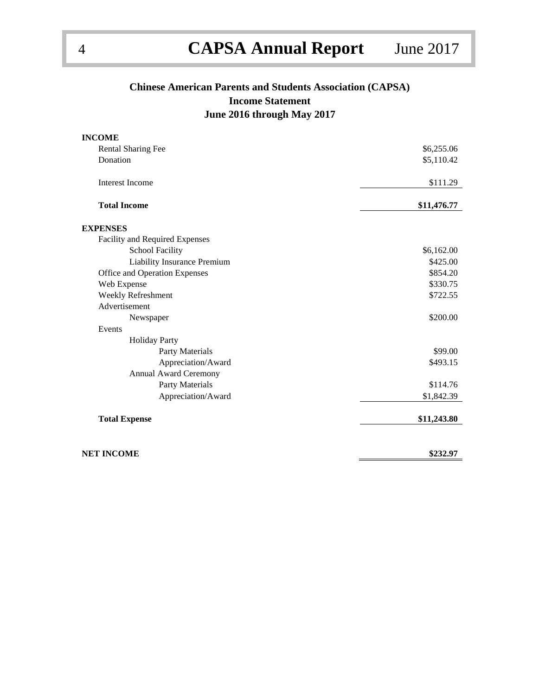## **Chinese American Parents and Students Association (CAPSA) Income Statement June 2016 through May 2017**

| <b>INCOME</b>                  |             |
|--------------------------------|-------------|
| Rental Sharing Fee             | \$6,255.06  |
| Donation                       | \$5,110.42  |
| <b>Interest Income</b>         | \$111.29    |
| <b>Total Income</b>            | \$11,476.77 |
| <b>EXPENSES</b>                |             |
| Facility and Required Expenses |             |
| <b>School Facility</b>         | \$6,162.00  |
| Liability Insurance Premium    | \$425.00    |
| Office and Operation Expenses  | \$854.20    |
| Web Expense                    | \$330.75    |
| Weekly Refreshment             | \$722.55    |
| Advertisement                  |             |
| Newspaper                      | \$200.00    |
| Events                         |             |
| <b>Holiday Party</b>           |             |
| Party Materials                | \$99.00     |
| Appreciation/Award             | \$493.15    |
| <b>Annual Award Ceremony</b>   |             |
| Party Materials                | \$114.76    |
| Appreciation/Award             | \$1,842.39  |
| <b>Total Expense</b>           | \$11,243.80 |
| NET INCOME                     | \$232.97    |
|                                |             |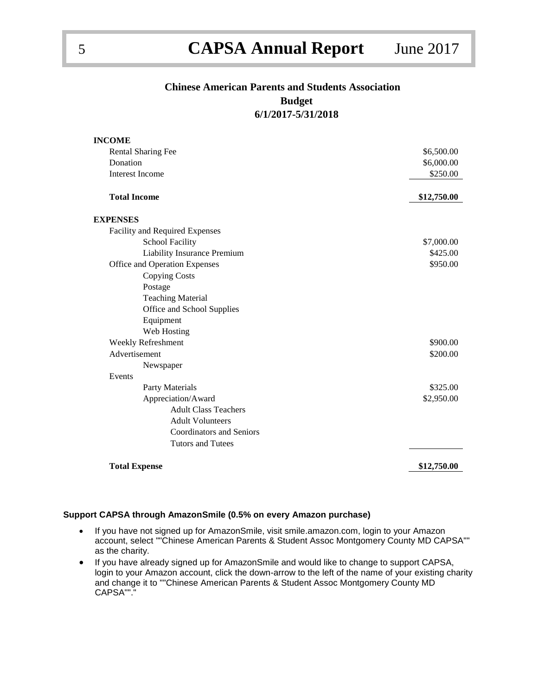### **Chinese American Parents and Students Association Budget**

**6/1/2017-5/31/2018**

| <b>INCOME</b>                      |             |
|------------------------------------|-------------|
| <b>Rental Sharing Fee</b>          | \$6,500.00  |
| Donation                           | \$6,000.00  |
| <b>Interest Income</b>             | \$250.00    |
|                                    |             |
| <b>Total Income</b>                | \$12,750.00 |
|                                    |             |
| <b>EXPENSES</b>                    |             |
| Facility and Required Expenses     |             |
| <b>School Facility</b>             | \$7,000.00  |
| <b>Liability Insurance Premium</b> | \$425.00    |
| Office and Operation Expenses      | \$950.00    |
| <b>Copying Costs</b>               |             |
| Postage                            |             |
| <b>Teaching Material</b>           |             |
| Office and School Supplies         |             |
| Equipment                          |             |
| Web Hosting                        |             |
| Weekly Refreshment                 | \$900.00    |
| Advertisement                      | \$200.00    |
| Newspaper                          |             |
| Events                             |             |
| Party Materials                    | \$325.00    |
| Appreciation/Award                 | \$2,950.00  |
| <b>Adult Class Teachers</b>        |             |
| <b>Adult Volunteers</b>            |             |
| <b>Coordinators and Seniors</b>    |             |
| <b>Tutors and Tutees</b>           |             |
|                                    |             |
| <b>Total Expense</b>               | \$12,750.00 |

#### **Support CAPSA through AmazonSmile (0.5% on every Amazon purchase)**

- If you have not signed up for AmazonSmile, visit smile.amazon.com, login to your Amazon account, select ""Chinese American Parents & Student Assoc Montgomery County MD CAPSA"" as the charity.
- If you have already signed up for AmazonSmile and would like to change to support CAPSA, login to your Amazon account, click the down-arrow to the left of the name of your existing charity and change it to ""Chinese American Parents & Student Assoc Montgomery County MD CAPSA""."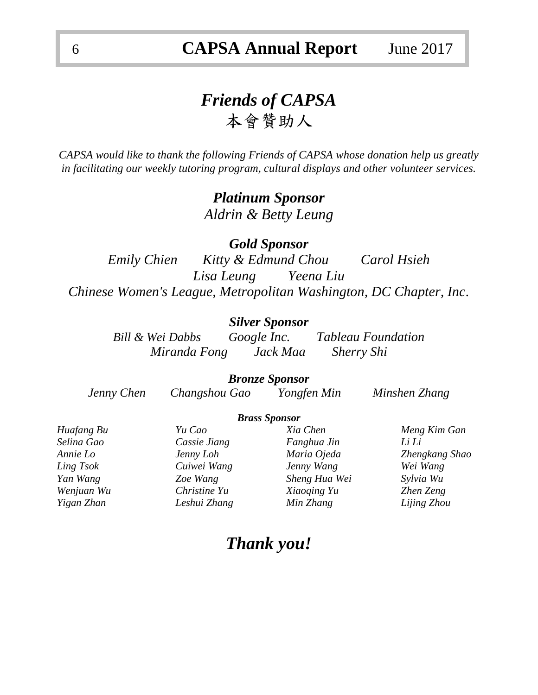# *Friends of CAPSA*  本會贊助人

*CAPSA would like to thank the following Friends of CAPSA whose donation help us greatly in facilitating our weekly tutoring program, cultural displays and other volunteer services.*

> *Platinum Sponsor Aldrin & Betty Leung*

*Gold Sponsor Emily Chien Kitty & Edmund Chou Carol Hsieh Lisa Leung Yeena Liu Chinese Women's League, Metropolitan Washington, DC Chapter, Inc.*

### *Silver Sponsor*

*Bill & Wei Dabbs Google Inc. Tableau Foundation Miranda Fong Jack Maa Sherry Shi*

### *Bronze Sponsor*

*Jenny Chen Changshou Gao Yongfen Min Minshen Zhang*

#### *Brass Sponsor*

| Huafang Bu | Yu Cao       | Xia Chen      | Meng Kim Gan   |
|------------|--------------|---------------|----------------|
| Selina Gao | Cassie Jiang | Fanghua Jin   | Li Li          |
| Annie Lo   | Jenny Loh    | Maria Ojeda   | Zhengkang Shao |
| Ling Tsok  | Cuiwei Wang  | Jenny Wang    | Wei Wang       |
| Yan Wang   | Zoe Wang     | Sheng Hua Wei | Sylvia Wu      |
| Wenjuan Wu | Christine Yu | Xiaoging Yu   | Zhen Zeng      |
| Yigan Zhan | Leshui Zhang | Min Zhang     | Lijing Zhou    |
|            |              |               |                |

## *Thank you!*